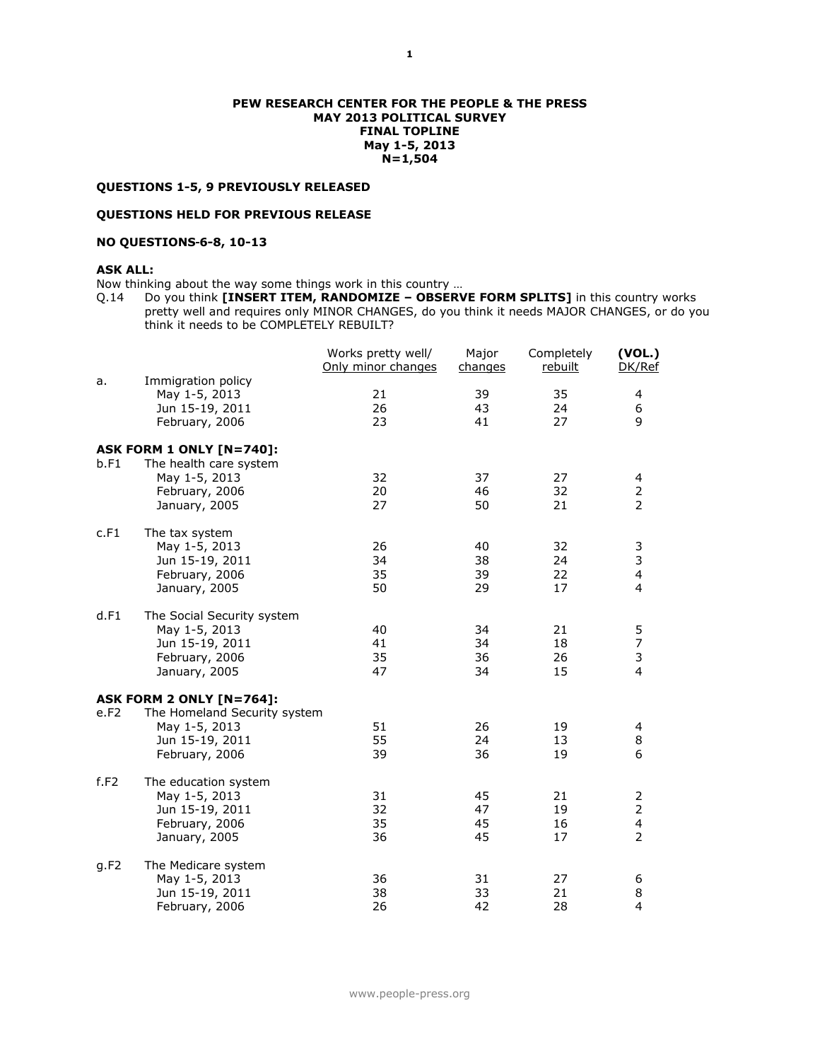### **PEW RESEARCH CENTER FOR THE PEOPLE & THE PRESS MAY 2013 POLITICAL SURVEY FINAL TOPLINE May 1-5, 2013 N=1,504**

# **QUESTIONS 1-5, 9 PREVIOUSLY RELEASED**

## **QUESTIONS HELD FOR PREVIOUS RELEASE**

### **NO QUESTIONS 6-8, 10-13**

## **ASK ALL:**

Now thinking about the way some things work in this country …

Q.14 Do you think **[INSERT ITEM, RANDOMIZE – OBSERVE FORM SPLITS]** in this country works pretty well and requires only MINOR CHANGES, do you think it needs MAJOR CHANGES, or do you think it needs to be COMPLETELY REBUILT?

|      |                                                                                             | Works pretty well/<br>Only minor changes | Major<br>changes     | Completely<br>rebuilt | (VOL.)<br>DK/Ref                                                 |
|------|---------------------------------------------------------------------------------------------|------------------------------------------|----------------------|-----------------------|------------------------------------------------------------------|
| a.   | Immigration policy<br>May 1-5, 2013<br>Jun 15-19, 2011<br>February, 2006                    | 21<br>26<br>23                           | 39<br>43<br>41       | 35<br>24<br>27        | 4<br>6<br>9                                                      |
| b.F1 | ASK FORM 1 ONLY [N=740]:<br>The health care system                                          |                                          |                      |                       |                                                                  |
|      | May 1-5, 2013<br>February, 2006<br>January, 2005                                            | 32<br>20<br>27                           | 37<br>46<br>50       | 27<br>32<br>21        | 4<br>2<br>2                                                      |
| c.F1 | The tax system                                                                              |                                          |                      |                       |                                                                  |
|      | May 1-5, 2013<br>Jun 15-19, 2011<br>February, 2006<br>January, 2005                         | 26<br>34<br>35<br>50                     | 40<br>38<br>39<br>29 | 32<br>24<br>22<br>17  | 3<br>3<br>4<br>4                                                 |
| d.F1 | The Social Security system                                                                  |                                          |                      |                       |                                                                  |
|      | May 1-5, 2013<br>Jun 15-19, 2011<br>February, 2006<br>January, 2005                         | 40<br>41<br>35<br>47                     | 34<br>34<br>36<br>34 | 21<br>18<br>26<br>15  | 5<br>7<br>3<br>$\overline{4}$                                    |
|      | <b>ASK FORM 2 ONLY [N=764]:</b>                                                             |                                          |                      |                       |                                                                  |
| e.F2 | The Homeland Security system<br>May 1-5, 2013<br>Jun 15-19, 2011<br>February, 2006          | 51<br>55<br>39                           | 26<br>24<br>36       | 19<br>13<br>19        | 4<br>8<br>6                                                      |
| f.F2 | The education system<br>May 1-5, 2013<br>Jun 15-19, 2011<br>February, 2006<br>January, 2005 | 31<br>32<br>35<br>36                     | 45<br>47<br>45<br>45 | 21<br>19<br>16<br>17  | 2<br>$\overline{2}$<br>$\overline{\mathbf{4}}$<br>$\overline{2}$ |
| q.F2 | The Medicare system<br>May 1-5, 2013<br>Jun 15-19, 2011<br>February, 2006                   | 36<br>38<br>26                           | 31<br>33<br>42       | 27<br>21<br>28        | 6<br>8<br>$\overline{4}$                                         |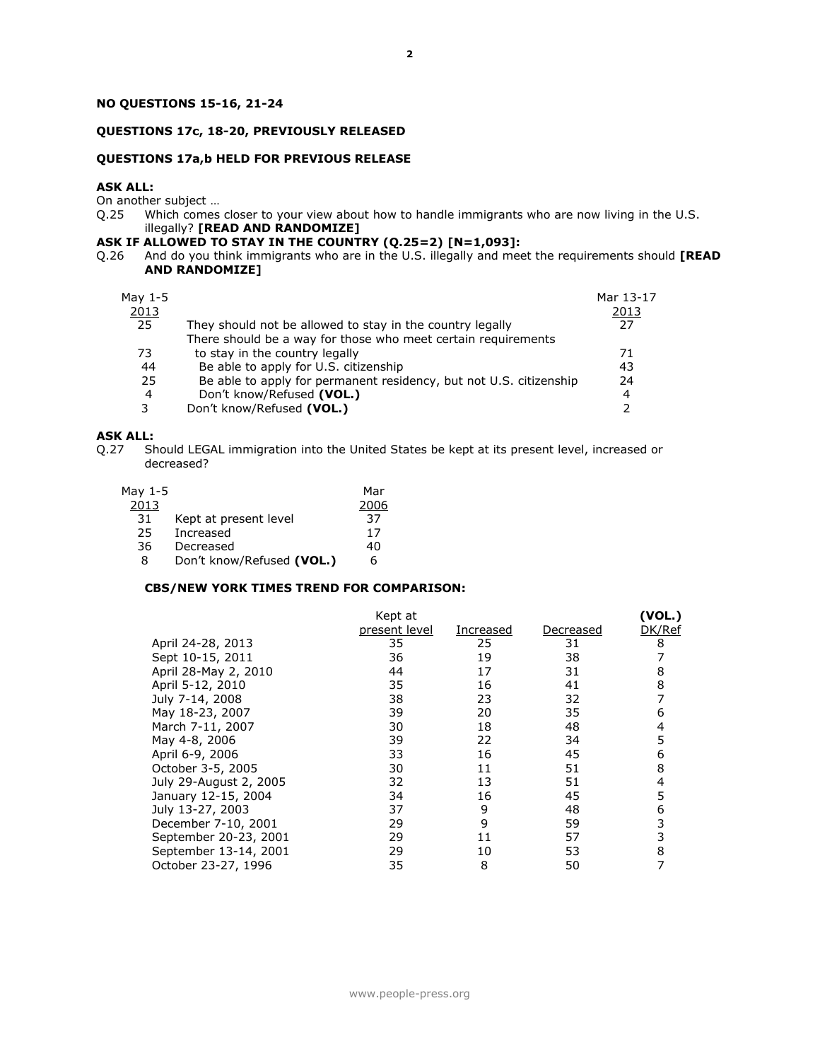# **NO QUESTIONS 15-16, 21-24**

### **QUESTIONS 17c, 18-20, PREVIOUSLY RELEASED**

### **QUESTIONS 17a,b HELD FOR PREVIOUS RELEASE**

## **ASK ALL:**

On another subject ...<br>Q.25 Which comes Which comes closer to your view about how to handle immigrants who are now living in the U.S. illegally? **[READ AND RANDOMIZE]**

## **ASK IF ALLOWED TO STAY IN THE COUNTRY (Q.25=2) [N=1,093]:**

Q.26 And do you think immigrants who are in the U.S. illegally and meet the requirements should **[READ AND RANDOMIZE]**

| May 1-5<br>2013<br>25 | They should not be allowed to stay in the country legally<br>There should be a way for those who meet certain requirements | Mar 13-17<br>2013<br>27 |
|-----------------------|----------------------------------------------------------------------------------------------------------------------------|-------------------------|
| 73                    | to stay in the country legally                                                                                             | 71                      |
| 44                    | Be able to apply for U.S. citizenship                                                                                      | 43                      |
| 25                    | Be able to apply for permanent residency, but not U.S. citizenship                                                         | 24                      |
| 4                     | Don't know/Refused (VOL.)                                                                                                  | $\overline{4}$          |
| 3                     | Don't know/Refused (VOL.)                                                                                                  |                         |

**ASK ALL:**<br>Q.27 Sh Should LEGAL immigration into the United States be kept at its present level, increased or decreased?

| May 1-5 |                           | Mar  |
|---------|---------------------------|------|
| 2013    |                           | 2006 |
| -31     | Kept at present level     | 37   |
| 25      | Increased                 | 17   |
| 36      | Decreased                 | 40   |
| 8       | Don't know/Refused (VOL.) | 6    |

### **CBS/NEW YORK TIMES TREND FOR COMPARISON:**

|                        | Kept at       |           |           | (VOL.) |
|------------------------|---------------|-----------|-----------|--------|
|                        | present level | Increased | Decreased | DK/Ref |
| April 24-28, 2013      | 35            | 25        | 31        | 8      |
| Sept 10-15, 2011       | 36            | 19        | 38        |        |
| April 28-May 2, 2010   | 44            | 17        | 31        | 8      |
| April 5-12, 2010       | 35            | 16        | 41        | 8      |
| July 7-14, 2008        | 38            | 23        | 32        |        |
| May 18-23, 2007        | 39            | 20        | 35        | 6      |
| March 7-11, 2007       | 30            | 18        | 48        | 4      |
| May 4-8, 2006          | 39            | 22        | 34        | 5      |
| April 6-9, 2006        | 33            | 16        | 45        | 6      |
| October 3-5, 2005      | 30            | 11        | 51        | 8      |
| July 29-August 2, 2005 | 32            | 13        | 51        | 4      |
| January 12-15, 2004    | 34            | 16        | 45        | 5      |
| July 13-27, 2003       | 37            | 9         | 48        | 6      |
| December 7-10, 2001    | 29            | 9         | 59        | 3      |
| September 20-23, 2001  | 29            | 11        | 57        |        |
| September 13-14, 2001  | 29            | 10        | 53        | 8      |
| October 23-27, 1996    | 35            | 8         | 50        | 7      |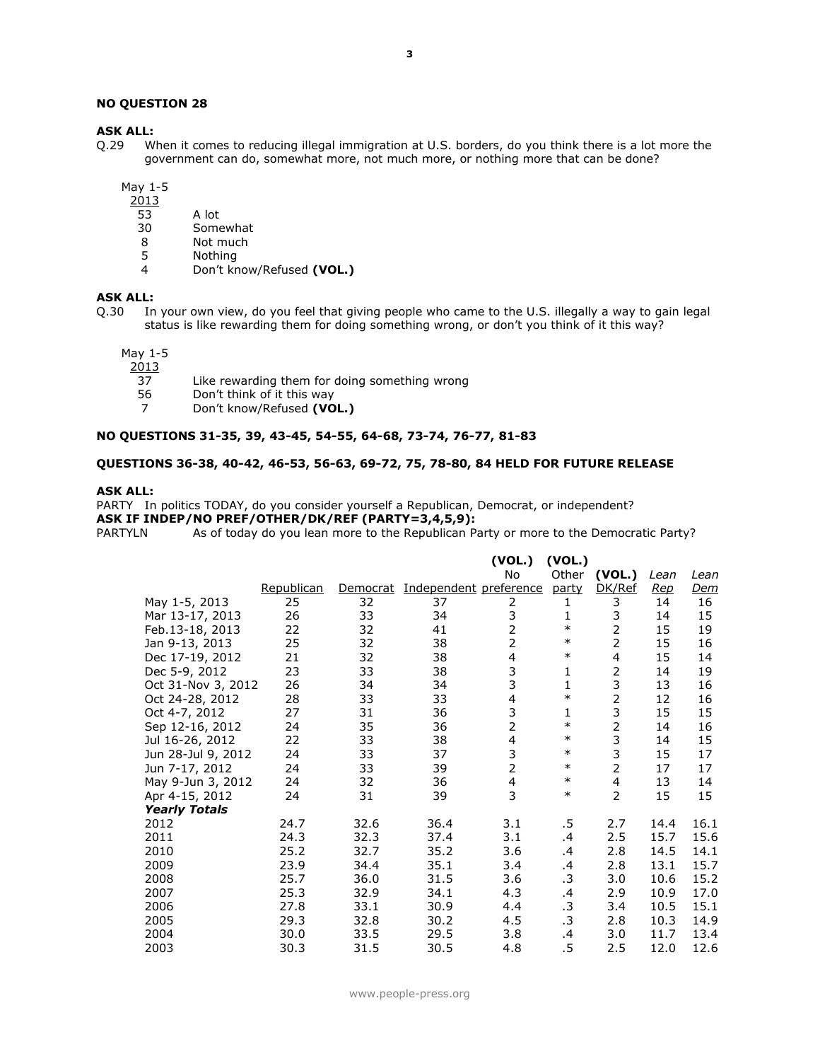### **NO QUESTION 28**

### **ASK ALL:**

Q.29 When it comes to reducing illegal immigration at U.S. borders, do you think there is a lot more the government can do, somewhat more, not much more, or nothing more that can be done?

May 1-5

- 2013
- 53 A lot
- 30 Somewhat<br>8 Not much
- 8 Not much<br>5 Nothing
- 5 Nothing<br>4 Don't kr
- 4 Don't know/Refused **(VOL.)**

### **ASK ALL:**

Q.30 In your own view, do you feel that giving people who came to the U.S. illegally a way to gain legal status is like rewarding them for doing something wrong, or don't you think of it this way?

May 1-5

- $\frac{2013}{37}$ 37 Like rewarding them for doing something wrong<br>56 Don't think of it this way
- Don't think of it this way
- 7 Don't know/Refused **(VOL.)**

### **NO QUESTIONS 31-35, 39, 43-45, 54-55, 64-68, 73-74, 76-77, 81-83**

### **QUESTIONS 36-38, 40-42, 46-53, 56-63, 69-72, 75, 78-80, 84 HELD FOR FUTURE RELEASE**

### **ASK ALL:**

PARTY In politics TODAY, do you consider yourself a Republican, Democrat, or independent? **ASK IF INDEP/NO PREF/OTHER/DK/REF (PARTY=3,4,5,9):**

PARTYLN As of today do you lean more to the Republican Party or more to the Democratic Party?

|                      |            |          |                        | (VOL.)<br>No            | (VOL.)<br>Other | (VOL.)         | Lean | Lean |
|----------------------|------------|----------|------------------------|-------------------------|-----------------|----------------|------|------|
|                      | Republican | Democrat | Independent preference |                         | party           | DK/Ref         | Rep  | Dem  |
| May 1-5, 2013        | 25         | 32       | 37                     | 2                       | 1               | 3              | 14   | 16   |
| Mar 13-17, 2013      | 26         | 33       | 34                     | 3                       | 1               | 3              | 14   | 15   |
| Feb.13-18, 2013      | 22         | 32       | 41                     | $\overline{2}$          | $\ast$          | $\overline{2}$ | 15   | 19   |
| Jan 9-13, 2013       | 25         | 32       | 38                     | $\overline{2}$          | $\ast$          | $\overline{2}$ | 15   | 16   |
| Dec 17-19, 2012      | 21         | 32       | 38                     | 4                       | $\ast$          | $\overline{4}$ | 15   | 14   |
| Dec 5-9, 2012        | 23         | 33       | 38                     | $\frac{3}{3}$           | 1               | 2              | 14   | 19   |
| Oct 31-Nov 3, 2012   | 26         | 34       | 34                     |                         | 1               | 3              | 13   | 16   |
| Oct 24-28, 2012      | 28         | 33       | 33                     | $\overline{\mathbf{4}}$ | $\ast$          | $\overline{2}$ | 12   | 16   |
| Oct 4-7, 2012        | 27         | 31       | 36                     | 3                       | 1               | 3              | 15   | 15   |
| Sep 12-16, 2012      | 24         | 35       | 36                     | $\overline{2}$          | $\ast$          | $\overline{2}$ | 14   | 16   |
| Jul 16-26, 2012      | 22         | 33       | 38                     | 4                       | $\ast$          | 3              | 14   | 15   |
| Jun 28-Jul 9, 2012   | 24         | 33       | 37                     | 3                       | $\ast$          | 3              | 15   | 17   |
| Jun 7-17, 2012       | 24         | 33       | 39                     | $\overline{2}$          | $\ast$          | $\overline{2}$ | 17   | 17   |
| May 9-Jun 3, 2012    | 24         | 32       | 36                     | $\overline{4}$          | $\ast$          | $\overline{4}$ | 13   | 14   |
| Apr 4-15, 2012       | 24         | 31       | 39                     | 3                       | $\ast$          | $\overline{2}$ | 15   | 15   |
| <b>Yearly Totals</b> |            |          |                        |                         |                 |                |      |      |
| 2012                 | 24.7       | 32.6     | 36.4                   | 3.1                     | .5              | 2.7            | 14.4 | 16.1 |
| 2011                 | 24.3       | 32.3     | 37.4                   | 3.1                     | .4              | 2.5            | 15.7 | 15.6 |
| 2010                 | 25.2       | 32.7     | 35.2                   | 3.6                     | .4              | 2.8            | 14.5 | 14.1 |
| 2009                 | 23.9       | 34.4     | 35.1                   | 3.4                     | .4              | 2.8            | 13.1 | 15.7 |
| 2008                 | 25.7       | 36.0     | 31.5                   | 3.6                     | .3              | 3.0            | 10.6 | 15.2 |
| 2007                 | 25.3       | 32.9     | 34.1                   | 4.3                     | .4              | 2.9            | 10.9 | 17.0 |
| 2006                 | 27.8       | 33.1     | 30.9                   | 4.4                     | .3              | 3.4            | 10.5 | 15.1 |
| 2005                 | 29.3       | 32.8     | 30.2                   | 4.5                     | .3              | 2.8            | 10.3 | 14.9 |
| 2004                 | 30.0       | 33.5     | 29.5                   | 3.8                     | .4              | 3.0            | 11.7 | 13.4 |
| 2003                 | 30.3       | 31.5     | 30.5                   | 4.8                     | .5              | 2.5            | 12.0 | 12.6 |